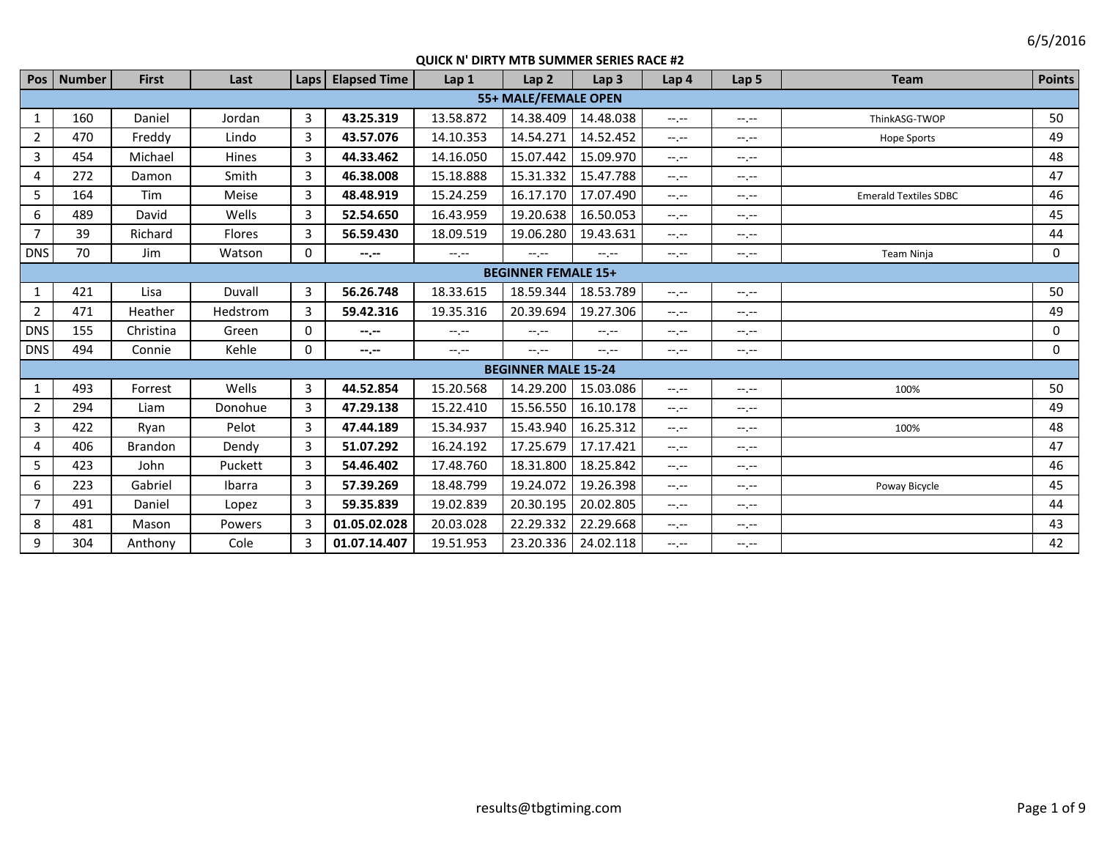| Pos            | <b>Number</b> | <b>First</b> | Last          |   | Laps   Elapsed Time | Lap <sub>1</sub> | Lap <sub>2</sub>           | Lap <sub>3</sub> | Lap <sub>4</sub> | Lap <sub>5</sub> | <b>Team</b>                  | <b>Points</b> |
|----------------|---------------|--------------|---------------|---|---------------------|------------------|----------------------------|------------------|------------------|------------------|------------------------------|---------------|
|                |               |              |               |   |                     |                  | 55+ MALE/FEMALE OPEN       |                  |                  |                  |                              |               |
| 1              | 160           | Daniel       | Jordan        | 3 | 43.25.319           | 13.58.872        | 14.38.409                  | 14.48.038        | $-1 - 1 - 1 = 0$ | $-1$ , $-1$      | ThinkASG-TWOP                | 50            |
| $\overline{2}$ | 470           | Freddy       | Lindo         | 3 | 43.57.076           | 14.10.353        | 14.54.271                  | 14.52.452        | $-1 - 1 - 1 = 0$ | $-1$ , $-1$      | <b>Hope Sports</b>           | 49            |
| 3              | 454           | Michael      | <b>Hines</b>  | 3 | 44.33.462           | 14.16.050        | 15.07.442                  | 15.09.970        | $-1 - 1 - 1 = 0$ | $-1$ , $-1$      |                              | 48            |
| 4              | 272           | Damon        | Smith         | 3 | 46.38.008           | 15.18.888        | 15.31.332                  | 15.47.788        | $-1. -1$         | $-1$ , $-1$      |                              | 47            |
| 5              | 164           | Tim          | Meise         | 3 | 48.48.919           | 15.24.259        | 16.17.170                  | 17.07.490        | $-1 - 1 - 1 = 0$ | $-1 - 1 - 1 = 0$ | <b>Emerald Textiles SDBC</b> | 46            |
| 6              | 489           | David        | Wells         | 3 | 52.54.650           | 16.43.959        | 19.20.638                  | 16.50.053        | $-1$ , $-1$      | $-1$ , $-1$      |                              | 45            |
| $\overline{7}$ | 39            | Richard      | <b>Flores</b> | 3 | 56.59.430           | 18.09.519        | 19.06.280                  | 19.43.631        | $-1$ , $-1$      | $-1$ , $-1$      |                              | 44            |
| <b>DNS</b>     | 70            | Jim          | Watson        | 0 | $-2 - 1 - 1 = 0$    | $-1. -1$         | $-1. -1$                   | $-1, -1$         | $-1. - -$        | $-1 - 1 - 1 = 0$ | Team Ninja                   | 0             |
|                |               |              |               |   |                     |                  | <b>BEGINNER FEMALE 15+</b> |                  |                  |                  |                              |               |
| 1              | 421           | Lisa         | Duvall        | 3 | 56.26.748           | 18.33.615        | 18.59.344                  | 18.53.789        | $-1 - 1 - 1 = 0$ | $-1$ , $-1$      |                              | 50            |
| $\overline{2}$ | 471           | Heather      | Hedstrom      | 3 | 59.42.316           | 19.35.316        | 20.39.694                  | 19.27.306        | $-1 - 1 - 1 = 0$ | $-1 - 1 - 1 = 0$ |                              | 49            |
| <b>DNS</b>     | 155           | Christina    | Green         | 0 | $- - - - -$         | $-1$ , $-1$      | $-1$ , $-1$                | $-1, -1$         | $-1$ , $-1$      | $-1$ , $-1$      |                              | 0             |
| <b>DNS</b>     | 494           | Connie       | Kehle         | 0 | $- - - - -$         | $-1 - 1 - 1 = 0$ | $-1. -1$                   | $-1, -1$         | $-1, -1$         | $-1 - 1 - 1 = 0$ |                              | 0             |
|                |               |              |               |   |                     |                  | <b>BEGINNER MALE 15-24</b> |                  |                  |                  |                              |               |
| 1              | 493           | Forrest      | Wells         | 3 | 44.52.854           | 15.20.568        | 14.29.200                  | 15.03.086        | $-1 - 1 - 1 = 0$ | $-1$ , $-1$      | 100%                         | 50            |
| $\overline{2}$ | 294           | Liam         | Donohue       | 3 | 47.29.138           | 15.22.410        | 15.56.550                  | 16.10.178        | $-1 - 1 - 1 = 0$ | $-1$ , $-1$      |                              | 49            |
| 3              | 422           | Ryan         | Pelot         | 3 | 47.44.189           | 15.34.937        | 15.43.940                  | 16.25.312        | $-1 - 1 - 1 = 0$ | $-1$ , $-1$      | 100%                         | 48            |
| 4              | 406           | Brandon      | Dendy         | 3 | 51.07.292           | 16.24.192        | 17.25.679                  | 17.17.421        | $-1 - 1 - 1 = 0$ | $-1$ , $-1$      |                              | 47            |
| 5              | 423           | John         | Puckett       | 3 | 54.46.402           | 17.48.760        | 18.31.800                  | 18.25.842        | $-1 - 1 - 1 = 0$ | $-1$ , $-1$      |                              | 46            |
| 6              | 223           | Gabriel      | Ibarra        | 3 | 57.39.269           | 18.48.799        | 19.24.072                  | 19.26.398        | $-1 - 1 - 1 = 0$ | $-1$ , $-1$      | Poway Bicycle                | 45            |
| $\overline{7}$ | 491           | Daniel       | Lopez         | 3 | 59.35.839           | 19.02.839        | 20.30.195                  | 20.02.805        | $-1$ , $-1$      | $-1$ , $-1$      |                              | 44            |
| 8              | 481           | Mason        | Powers        | 3 | 01.05.02.028        | 20.03.028        | 22.29.332                  | 22.29.668        | $-1 - 1 - 1 = 0$ | $-1 - 1 - 1 = 0$ |                              | 43            |
| 9              | 304           | Anthony      | Cole          | 3 | 01.07.14.407        | 19.51.953        | 23.20.336                  | 24.02.118        | $-1$             | $-1$ , $-1$      |                              | 42            |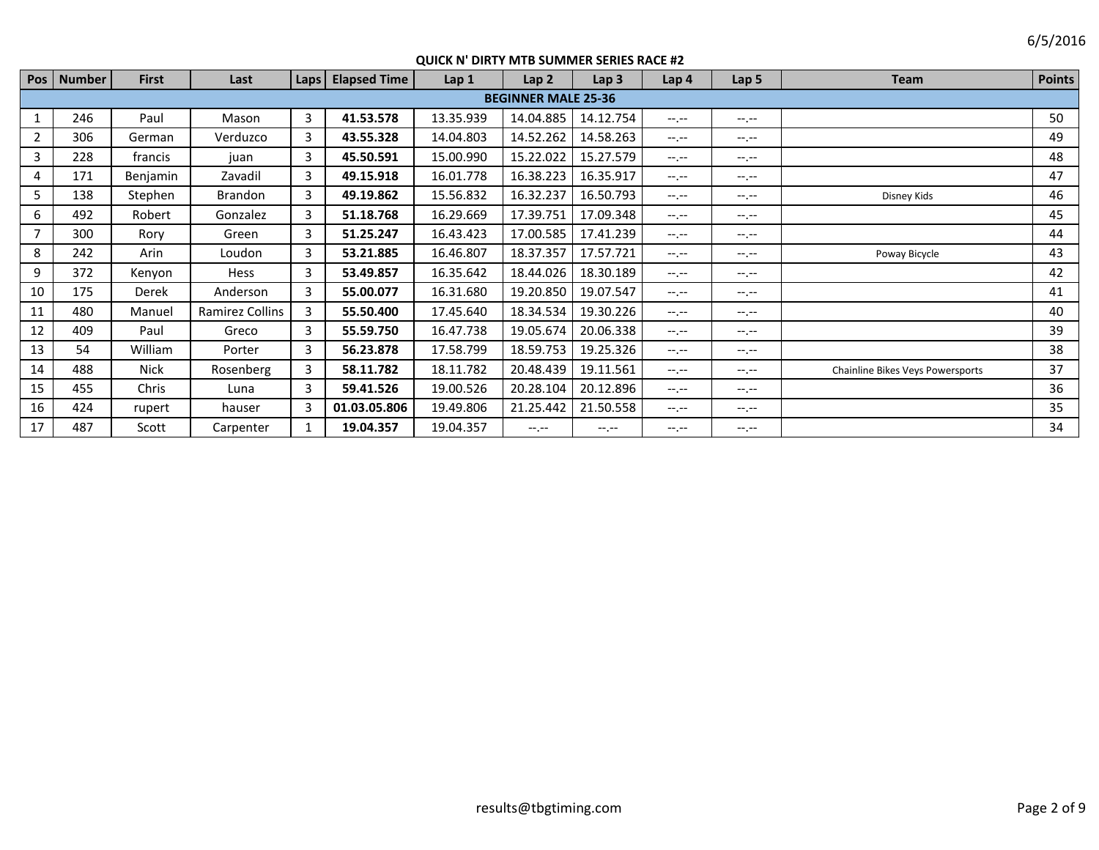| Pos            | <b>Number</b> | <b>First</b> | Last            | Laps           | <b>Elapsed Time</b> | Lap 1     | Lap <sub>2</sub>           | Lap <sub>3</sub> | Lap 4            | Lap 5            | <b>Team</b>                      | <b>Points</b> |
|----------------|---------------|--------------|-----------------|----------------|---------------------|-----------|----------------------------|------------------|------------------|------------------|----------------------------------|---------------|
|                |               |              |                 |                |                     |           | <b>BEGINNER MALE 25-36</b> |                  |                  |                  |                                  |               |
| $\mathbf{1}$   | 246           | Paul         | Mason           | 3              | 41.53.578           | 13.35.939 | 14.04.885                  | 14.12.754        | $-1 - 1 - 1 = 0$ | $-1 - 1 - 1 = 0$ |                                  | 50            |
| $\overline{2}$ | 306           | German       | Verduzco        | 3              | 43.55.328           | 14.04.803 | 14.52.262                  | 14.58.263        | $-1, -1$         | $-1 - 1 - 1 = 0$ |                                  | 49            |
| 3              | 228           | francis      | juan            | 3              | 45.50.591           | 15.00.990 | 15.22.022                  | 15.27.579        | $-1. - -$        | $-1.1 -$         |                                  | 48            |
| 4              | 171           | Benjamin     | Zavadil         | 3              | 49.15.918           | 16.01.778 | 16.38.223                  | 16.35.917        | $-1, -1$         | $-1$ , $-1$      |                                  | 47            |
| 5              | 138           | Stephen      | Brandon         | 3              | 49.19.862           | 15.56.832 | 16.32.237                  | 16.50.793        | $-1$ , $-1$      | $-1$ , $-1$      | Disney Kids                      | 46            |
| 6              | 492           | Robert       | Gonzalez        | $\overline{3}$ | 51.18.768           | 16.29.669 | 17.39.751                  | 17.09.348        | $-1 - 1 - 1 = 0$ | $-1 - 1 - 1 = 0$ |                                  | 45            |
| $\overline{7}$ | 300           | Rory         | Green           | 3              | 51.25.247           | 16.43.423 | 17.00.585                  | 17.41.239        | $-1 - 1 - 1 = 0$ | $-1 - 1 - 1 = 0$ |                                  | 44            |
| 8              | 242           | Arin         | Loudon          | 3              | 53.21.885           | 16.46.807 | 18.37.357                  | 17.57.721        | $-1, -1$         | $-1 - 1 - 1 = 0$ | Poway Bicycle                    | 43            |
| 9              | 372           | Kenyon       | Hess            | 3              | 53.49.857           | 16.35.642 | 18.44.026                  | 18.30.189        | $-1 - 1 - 1 = 0$ | $-1 - 1 - 1 = 0$ |                                  | 42            |
| 10             | 175           | Derek        | Anderson        | 3              | 55.00.077           | 16.31.680 | 19.20.850                  | 19.07.547        | $-1, -1$         | $-1 - 1 - 1 = 0$ |                                  | 41            |
| 11             | 480           | Manuel       | Ramirez Collins | 3              | 55.50.400           | 17.45.640 | 18.34.534                  | 19.30.226        | $-1 - 1 - 1 = 0$ | $-1.1 -$         |                                  | 40            |
| 12             | 409           | Paul         | Greco           | 3              | 55.59.750           | 16.47.738 | 19.05.674                  | 20.06.338        | $-1. -1$         | $-1 - 1 - 1 = 0$ |                                  | 39            |
| 13             | 54            | William      | Porter          | 3              | 56.23.878           | 17.58.799 | 18.59.753                  | 19.25.326        | $-1 - 1 - 1 = 0$ | $-1 - 1 - 1 = 0$ |                                  | 38            |
| 14             | 488           | <b>Nick</b>  | Rosenberg       | 3              | 58.11.782           | 18.11.782 | 20.48.439                  | 19.11.561        | $-1 - 1 - 1 = 0$ | $-1 - 1 - 1 = 0$ | Chainline Bikes Veys Powersports | 37            |
| 15             | 455           | Chris        | Luna            | 3              | 59.41.526           | 19.00.526 | 20.28.104                  | 20.12.896        | $-1 - 1 - 1 = 0$ | $-1$ , $-1$      |                                  | 36            |
| 16             | 424           | rupert       | hauser          | $\overline{3}$ | 01.03.05.806        | 19.49.806 | 21.25.442                  | 21.50.558        | $-1 - 1 - 1 = 0$ | $-1 - 1 - 1 = 0$ |                                  | 35            |
| 17             | 487           | Scott        | Carpenter       |                | 19.04.357           | 19.04.357 | $-1 - 1 - 1 = 0$           | $-1 - 1 - 1 = 0$ | $-1$ , $-1$      | $-1 - 1 - 1 = 0$ |                                  | 34            |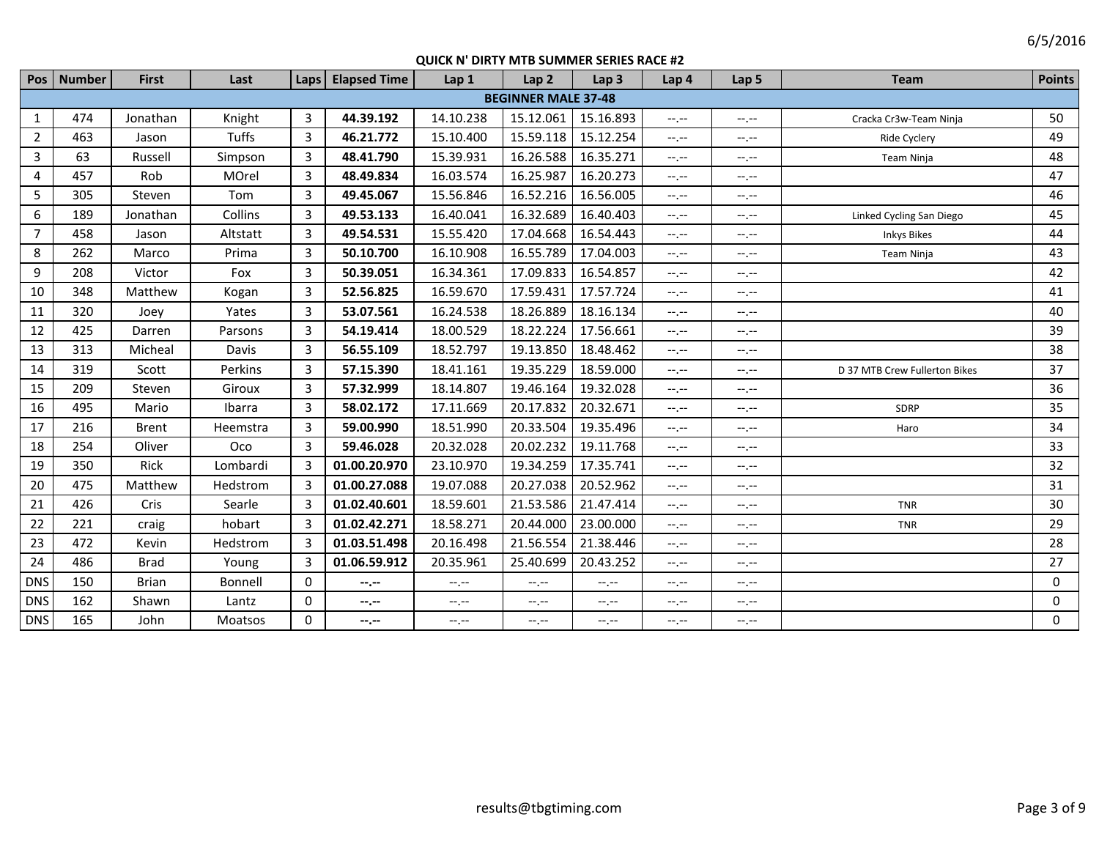|                | Pos   Number | <b>First</b> | Last         | Laps           | <b>Elapsed Time</b> | Lap 1     | Lap <sub>2</sub>           | Lap <sub>3</sub> | Lap 4       | Lap 5            | <b>Team</b>                   | <b>Points</b> |
|----------------|--------------|--------------|--------------|----------------|---------------------|-----------|----------------------------|------------------|-------------|------------------|-------------------------------|---------------|
|                |              |              |              |                |                     |           | <b>BEGINNER MALE 37-48</b> |                  |             |                  |                               |               |
| 1              | 474          | Jonathan     | Knight       | 3              | 44.39.192           | 14.10.238 | 15.12.061                  | 15.16.893        | $-1$ , $-1$ | $-1 - 1 - 1 = 0$ | Cracka Cr3w-Team Ninja        | 50            |
| $\overline{2}$ | 463          | Jason        | <b>Tuffs</b> | 3              | 46.21.772           | 15.10.400 | 15.59.118                  | 15.12.254        | $-1, -1$    | $-1, -1$         | Ride Cyclery                  | 49            |
| $\overline{3}$ | 63           | Russell      | Simpson      | $\overline{3}$ | 48.41.790           | 15.39.931 | 16.26.588                  | 16.35.271        | $-1$ , $-1$ | --.--            | Team Ninja                    | 48            |
| 4              | 457          | Rob          | MOrel        | 3              | 48.49.834           | 16.03.574 | 16.25.987                  | 16.20.273        | $-1$ , $-1$ | $-1, -1$         |                               | 47            |
| 5              | 305          | Steven       | Tom          | $\overline{3}$ | 49.45.067           | 15.56.846 | 16.52.216                  | 16.56.005        | $-1, -1$    | $-1$ .           |                               | 46            |
| 6              | 189          | Jonathan     | Collins      | 3              | 49.53.133           | 16.40.041 | 16.32.689                  | 16.40.403        | $-1, -1$    | $-1 - 1 - 1 = 0$ | Linked Cycling San Diego      | 45            |
| $\overline{7}$ | 458          | Jason        | Altstatt     | $\overline{3}$ | 49.54.531           | 15.55.420 | 17.04.668                  | 16.54.443        | $-1, -1$    | $-1$ . $-1$      | <b>Inkys Bikes</b>            | 44            |
| 8              | 262          | Marco        | Prima        | 3              | 50.10.700           | 16.10.908 | 16.55.789                  | 17.04.003        | $-1, -1$    | --.--            | <b>Team Ninja</b>             | 43            |
| 9              | 208          | Victor       | Fox          | 3              | 50.39.051           | 16.34.361 | 17.09.833                  | 16.54.857        | $-1, -1$    | $-1$ .           |                               | 42            |
| 10             | 348          | Matthew      | Kogan        | $\overline{3}$ | 52.56.825           | 16.59.670 | 17.59.431                  | 17.57.724        | $-1, -1$    | $-1, -1$         |                               | 41            |
| 11             | 320          | Joey         | Yates        | 3              | 53.07.561           | 16.24.538 | 18.26.889                  | 18.16.134        | $-1$        | $-1$             |                               | 40            |
| 12             | 425          | Darren       | Parsons      | $\overline{3}$ | 54.19.414           | 18.00.529 | 18.22.224                  | 17.56.661        | $-1$        | $-1 - 1 - 1 = 0$ |                               | 39            |
| 13             | 313          | Micheal      | Davis        | 3              | 56.55.109           | 18.52.797 | 19.13.850                  | 18.48.462        | $-1$        | $-1$ .           |                               | 38            |
| 14             | 319          | Scott        | Perkins      | 3              | 57.15.390           | 18.41.161 | 19.35.229                  | 18.59.000        | $-1, -1$    | $-1$ . $-1$      | D 37 MTB Crew Fullerton Bikes | 37            |
| 15             | 209          | Steven       | Giroux       | 3              | 57.32.999           | 18.14.807 | 19.46.164                  | 19.32.028        | $-1$ , $-1$ | --.--            |                               | 36            |
| 16             | 495          | Mario        | Ibarra       | 3              | 58.02.172           | 17.11.669 | 20.17.832                  | 20.32.671        | $-1$        | $-1$ .           | SDRP                          | 35            |
| 17             | 216          | <b>Brent</b> | Heemstra     | 3              | 59.00.990           | 18.51.990 | 20.33.504                  | 19.35.496        | $-1$        | $-1$ .           | Haro                          | 34            |
| 18             | 254          | Oliver       | Oco          | 3              | 59.46.028           | 20.32.028 | 20.02.232                  | 19.11.768        | $-1$        | $-1$             |                               | 33            |
| 19             | 350          | Rick         | Lombardi     | 3              | 01.00.20.970        | 23.10.970 | 19.34.259                  | 17.35.741        | $-1, -1$    | $-1 - 1 - 1 = 0$ |                               | 32            |
| 20             | 475          | Matthew      | Hedstrom     | 3              | 01.00.27.088        | 19.07.088 | 20.27.038                  | 20.52.962        | $-1$        | $-1$             |                               | 31            |
| 21             | 426          | Cris         | Searle       | 3              | 01.02.40.601        | 18.59.601 | 21.53.586                  | 21.47.414        | $-1$        | --.--            | <b>TNR</b>                    | 30            |
| 22             | 221          | craig        | hobart       | 3              | 01.02.42.271        | 18.58.271 | 20.44.000                  | 23.00.000        | $-1$ , $-1$ | --.--            | <b>TNR</b>                    | 29            |
| 23             | 472          | Kevin        | Hedstrom     | 3              | 01.03.51.498        | 20.16.498 | 21.56.554                  | 21.38.446        | $-1, -1$    | $-1, -1$         |                               | 28            |
| 24             | 486          | <b>Brad</b>  | Young        | $\overline{3}$ | 01.06.59.912        | 20.35.961 | 25.40.699                  | 20.43.252        | $-1$        | $-1$ .           |                               | 27            |
| <b>DNS</b>     | 150          | <b>Brian</b> | Bonnell      | 0              | $- - - - -$         | $-1$      | $-1, -1$                   | $-1, -1$         | $-1, -1$    | $-1, -1$         |                               | 0             |
| <b>DNS</b>     | 162          | Shawn        | Lantz        | 0              | $-1$                | $-1, -1$  | --.--                      | $-1, -1$         | $-1, -1$    | $-1$ .           |                               | 0             |
| <b>DNS</b>     | 165          | John         | Moatsos      | $\mathbf{0}$   | --.--               | $-1, -1$  | $-1$                       | $-1, -1$         | $-1$ , $-1$ | $-1$ , $-1$      |                               | $\mathbf{0}$  |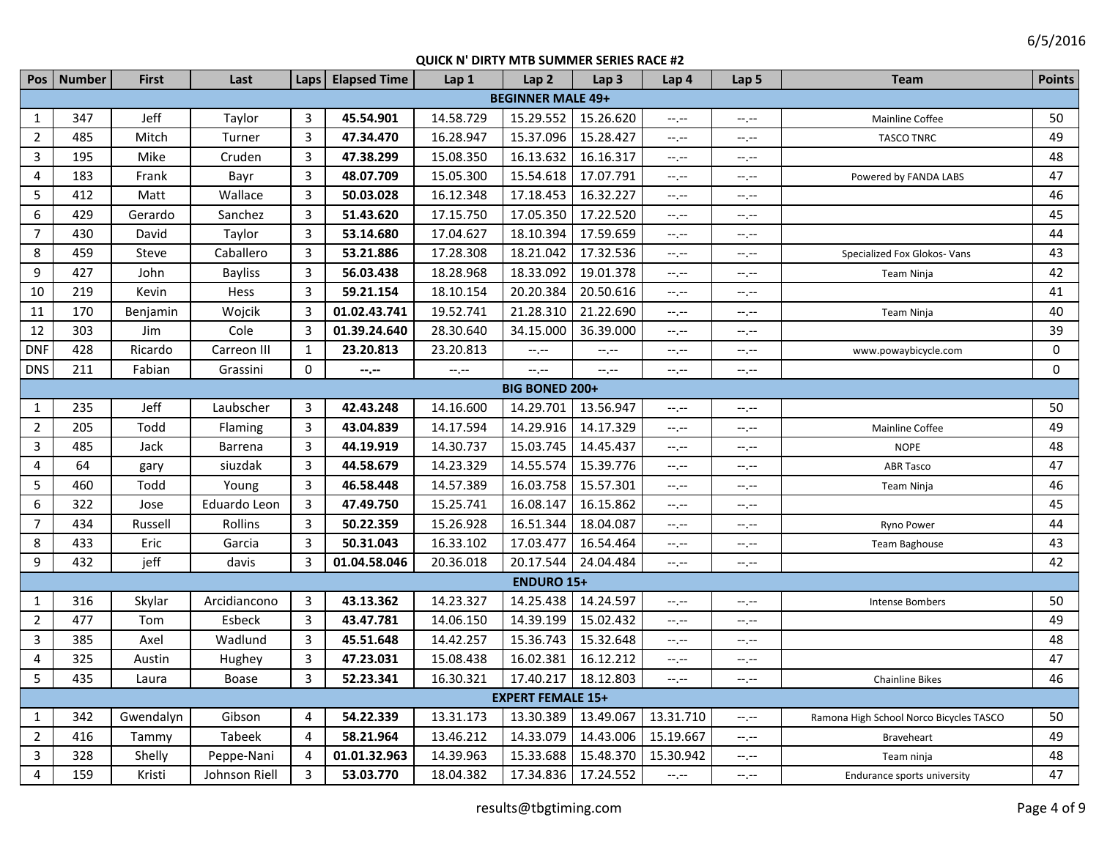| Pos            | <b>Number</b> | <b>First</b> | Last           | Laps           | <b>Elapsed Time</b> | Lap 1                       | Lap <sub>2</sub>         | Lap <sub>3</sub> | Lap 4            | Lap 5       | <b>Team</b>                             | <b>Points</b>    |
|----------------|---------------|--------------|----------------|----------------|---------------------|-----------------------------|--------------------------|------------------|------------------|-------------|-----------------------------------------|------------------|
|                |               |              |                |                |                     |                             | <b>BEGINNER MALE 49+</b> |                  |                  |             |                                         |                  |
| 1              | 347           | Jeff         | Taylor         | 3              | 45.54.901           | 14.58.729                   | 15.29.552                | 15.26.620        | $-1, -1$         | $-1, -1$    | Mainline Coffee                         | 50               |
| $\overline{2}$ | 485           | Mitch        | Turner         | 3              | 47.34.470           | 16.28.947                   | 15.37.096                | 15.28.427        | $-1, -1$         | $-1, -1$    | <b>TASCO TNRC</b>                       | 49               |
| 3              | 195           | Mike         | Cruden         | 3              | 47.38.299           | 15.08.350                   | 16.13.632                | 16.16.317        | $-1$             | $-1, -1$    |                                         | 48               |
| 4              | 183           | Frank        | Bayr           | $\mathbf{3}$   | 48.07.709           | 15.05.300                   | 15.54.618                | 17.07.791        | $-1, -1$         | $-1, -1$    | Powered by FANDA LABS                   | 47               |
| 5              | 412           | Matt         | Wallace        | $\mathbf{3}$   | 50.03.028           | 16.12.348                   | 17.18.453                | 16.32.227        | $-1, -1$         | --,--       |                                         | 46               |
| 6              | 429           | Gerardo      | Sanchez        | $\mathbf{3}$   | 51.43.620           | 17.15.750                   | 17.05.350                | 17.22.520        | $-1, -1$         | $-1, -1$    |                                         | 45               |
| $\overline{7}$ | 430           | David        | Taylor         | $\mathbf{3}$   | 53.14.680           | 17.04.627                   | 18.10.394                | 17.59.659        | $-1$             | $-1$        |                                         | 44               |
| 8              | 459           | Steve        | Caballero      | 3              | 53.21.886           | 17.28.308                   | 18.21.042                | 17.32.536        | $-1$             | $-1$        | Specialized Fox Glokos- Vans            | 43               |
| 9              | 427           | John         | <b>Bayliss</b> | $\overline{3}$ | 56.03.438           | 18.28.968                   | 18.33.092                | 19.01.378        | $-1, -1$         | $-1, -1$    | Team Ninja                              | 42               |
| 10             | 219           | Kevin        | Hess           | $\mathbf{3}$   | 59.21.154           | 18.10.154                   | 20.20.384                | 20.50.616        | $-1, -1$         | $-1, -1$    |                                         | 41               |
| 11             | 170           | Benjamin     | Wojcik         | $\mathbf{3}$   | 01.02.43.741        | 19.52.741                   | 21.28.310                | 21.22.690        | $-1, -1$         | $-1, -1$    | Team Ninja                              | 40               |
| 12             | 303           | Jim          | Cole           | 3              | 01.39.24.640        | 28.30.640                   | 34.15.000                | 36.39.000        | $-1, -1$         | $-1, -1$    |                                         | 39               |
| <b>DNF</b>     | 428           | Ricardo      | Carreon III    | $\mathbf{1}$   | 23.20.813           | 23.20.813                   | $-1$                     | $-1 - 1 - 1 = 0$ | $-1, -1$         | $-1, -1$    | www.powaybicycle.com                    | $\boldsymbol{0}$ |
| <b>DNS</b>     | 211           | Fabian       | Grassini       | 0              | --.--               | $\leftarrow$ , $\leftarrow$ | $-1$                     | $-1 - 1 - 1 = 0$ | $-1, -1$         | $-1$        |                                         | $\mathbf 0$      |
|                |               |              |                |                |                     |                             | <b>BIG BONED 200+</b>    |                  |                  |             |                                         |                  |
| $\mathbf{1}$   | 235           | Jeff         | Laubscher      | 3              | 42.43.248           | 14.16.600                   | 14.29.701                | 13.56.947        | $-1 - 1 - 1 = 0$ | $-1, -1$    |                                         | 50               |
| $\overline{2}$ | 205           | Todd         | Flaming        | $\overline{3}$ | 43.04.839           | 14.17.594                   | 14.29.916                | 14.17.329        | $-1 - 1 - 1 = 0$ | $-1, -1$    | Mainline Coffee                         | 49               |
| $\overline{3}$ | 485           | Jack         | Barrena        | $\overline{3}$ | 44.19.919           | 14.30.737                   | 15.03.745                | 14.45.437        | $-1 - 1 - 1 = 0$ | $-1, -1$    | <b>NOPE</b>                             | 48               |
| 4              | 64            | gary         | siuzdak        | 3              | 44.58.679           | 14.23.329                   | 14.55.574                | 15.39.776        | $-1$ .           | $-1, -1$    | <b>ABR Tasco</b>                        | 47               |
| 5              | 460           | Todd         | Young          | 3              | 46.58.448           | 14.57.389                   | 16.03.758                | 15.57.301        | $-1$ .           | $-1, -1$    | Team Ninja                              | 46               |
| 6              | 322           | Jose         | Eduardo Leon   | $\overline{3}$ | 47.49.750           | 15.25.741                   | 16.08.147                | 16.15.862        | $-1$ .           | $-1, -1$    |                                         | 45               |
| $\overline{7}$ | 434           | Russell      | Rollins        | $\overline{3}$ | 50.22.359           | 15.26.928                   | 16.51.344                | 18.04.087        | --.--            | $-1$ , $-1$ | Ryno Power                              | 44               |
| 8              | 433           | Eric         | Garcia         | $\overline{3}$ | 50.31.043           | 16.33.102                   | 17.03.477                | 16.54.464        | $-1 - 1 - 1 = 0$ | $-1$ , $-1$ | Team Baghouse                           | 43               |
| 9              | 432           | jeff         | davis          | 3              | 01.04.58.046        | 20.36.018                   | 20.17.544                | 24.04.484        | $-1 - 1 - 1 = 0$ | $-1, -1$    |                                         | 42               |
|                |               |              |                |                |                     |                             | <b>ENDURO 15+</b>        |                  |                  |             |                                         |                  |
| $\mathbf{1}$   | 316           | Skylar       | Arcidiancono   | 3              | 43.13.362           | 14.23.327                   | 14.25.438                | 14.24.597        | $-1$ .           | --.--       | Intense Bombers                         | 50               |
| $\overline{2}$ | 477           | Tom          | Esbeck         | 3              | 43.47.781           | 14.06.150                   | 14.39.199                | 15.02.432        | $--, --$         | $-1$        |                                         | 49               |
| 3              | 385           | Axel         | Wadlund        | 3              | 45.51.648           | 14.42.257                   | 15.36.743                | 15.32.648        | $-1, -1$         | $-1, -1$    |                                         | 48               |
| 4              | 325           | Austin       | Hughey         | 3              | 47.23.031           | 15.08.438                   | 16.02.381                | 16.12.212        | $-1 - 1 - 1 = 0$ | $-1$ , $-1$ |                                         | 47               |
| 5              | 435           | Laura        | Boase          | 3              | 52.23.341           | 16.30.321                   | 17.40.217                | 18.12.803        | $-1$             | $-1, -1$    | <b>Chainline Bikes</b>                  | 46               |
|                |               |              |                |                |                     |                             | <b>EXPERT FEMALE 15+</b> |                  |                  |             |                                         |                  |
| 1              | 342           | Gwendalyn    | Gibson         | 4              | 54.22.339           | 13.31.173                   | 13.30.389                | 13.49.067        | 13.31.710        | $-1$ , $-1$ | Ramona High School Norco Bicycles TASCO | 50               |
| $\overline{2}$ | 416           | Tammy        | Tabeek         | 4              | 58.21.964           | 13.46.212                   | 14.33.079                | 14.43.006        | 15.19.667        | $-1$        | Braveheart                              | 49               |
| 3              | 328           | Shelly       | Peppe-Nani     | 4              | 01.01.32.963        | 14.39.963                   | 15.33.688                | 15.48.370        | 15.30.942        | $-1$        | Team ninja                              | 48               |
| 4              | 159           | Kristi       | Johnson Riell  | 3              | 53.03.770           | 18.04.382                   | 17.34.836                | 17.24.552        | $-1, -1$         | $-1, -1$    | Endurance sports university             | 47               |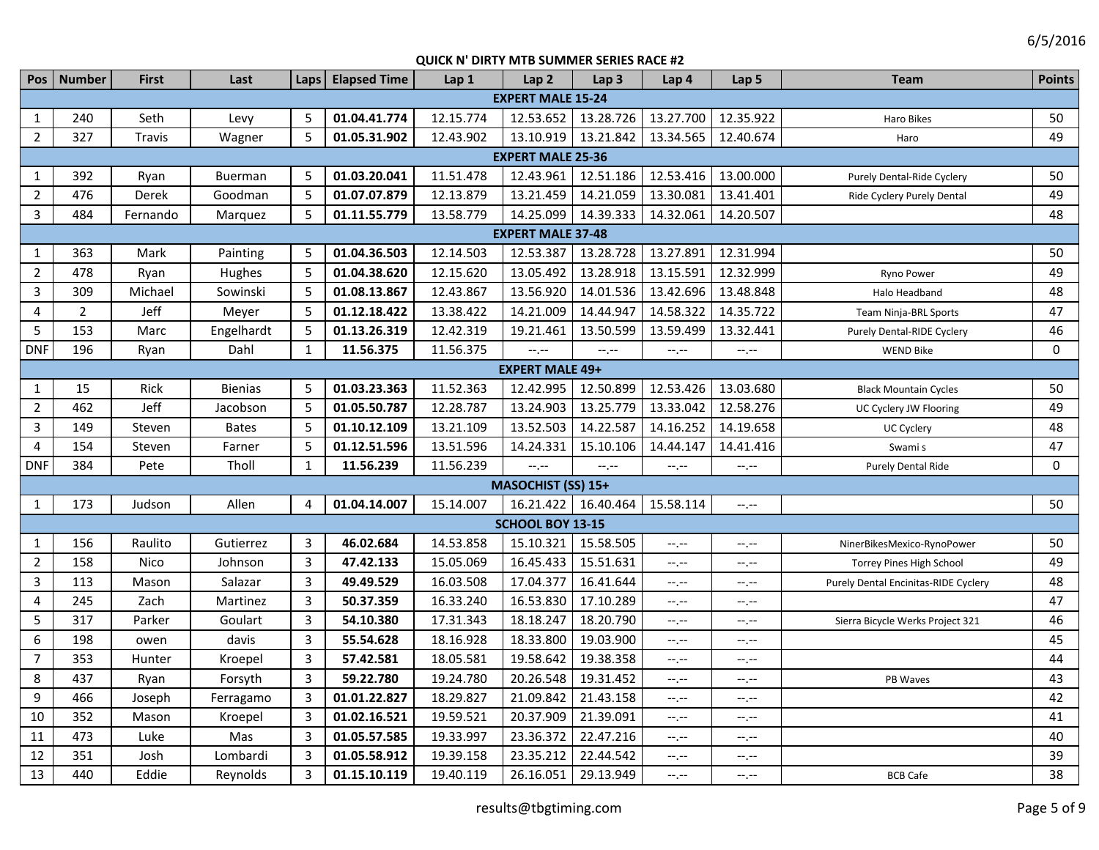|                | Pos   Number   | <b>First</b> | Last           |                | Laps   Elapsed Time | Lap 1     | Lap <sub>2</sub>          | Lap <sub>3</sub>    | Lap 4       | Lap 5       | <b>Team</b>                          | <b>Points</b> |
|----------------|----------------|--------------|----------------|----------------|---------------------|-----------|---------------------------|---------------------|-------------|-------------|--------------------------------------|---------------|
|                |                |              |                |                |                     |           | <b>EXPERT MALE 15-24</b>  |                     |             |             |                                      |               |
| $\mathbf{1}$   | 240            | Seth         | Levy           | 5              | 01.04.41.774        | 12.15.774 | 12.53.652                 | 13.28.726           | 13.27.700   | 12.35.922   | Haro Bikes                           | 50            |
| $\overline{2}$ | 327            | Travis       | Wagner         | 5              | 01.05.31.902        | 12.43.902 | 13.10.919                 | 13.21.842           | 13.34.565   | 12.40.674   | Haro                                 | 49            |
|                |                |              |                |                |                     |           | <b>EXPERT MALE 25-36</b>  |                     |             |             |                                      |               |
| $\mathbf{1}$   | 392            | Ryan         | Buerman        | 5              | 01.03.20.041        | 11.51.478 | 12.43.961                 | 12.51.186           | 12.53.416   | 13.00.000   | Purely Dental-Ride Cyclery           | 50            |
| $\overline{2}$ | 476            | Derek        | Goodman        | 5              | 01.07.07.879        | 12.13.879 | 13.21.459                 | 14.21.059           | 13.30.081   | 13.41.401   | Ride Cyclery Purely Dental           | 49            |
| $\mathbf{3}$   | 484            | Fernando     | Marquez        | 5              | 01.11.55.779        | 13.58.779 | 14.25.099                 | 14.39.333           | 14.32.061   | 14.20.507   |                                      | 48            |
|                |                |              |                |                |                     |           | <b>EXPERT MALE 37-48</b>  |                     |             |             |                                      |               |
| $\mathbf{1}$   | 363            | Mark         | Painting       | 5              | 01.04.36.503        | 12.14.503 | 12.53.387                 | 13.28.728           | 13.27.891   | 12.31.994   |                                      | 50            |
| $\overline{2}$ | 478            | Ryan         | Hughes         | 5              | 01.04.38.620        | 12.15.620 | 13.05.492                 | 13.28.918           | 13.15.591   | 12.32.999   | Ryno Power                           | 49            |
| $\overline{3}$ | 309            | Michael      | Sowinski       | 5              | 01.08.13.867        | 12.43.867 | 13.56.920                 | 14.01.536           | 13.42.696   | 13.48.848   | Halo Headband                        | 48            |
| $\overline{4}$ | $\overline{2}$ | Jeff         | Meyer          | 5              | 01.12.18.422        | 13.38.422 | 14.21.009                 | 14.44.947           | 14.58.322   | 14.35.722   | Team Ninja-BRL Sports                | 47            |
| 5              | 153            | Marc         | Engelhardt     | 5              | 01.13.26.319        | 12.42.319 | 19.21.461                 | 13.50.599           | 13.59.499   | 13.32.441   | Purely Dental-RIDE Cyclery           | 46            |
| <b>DNF</b>     | 196            | Ryan         | Dahl           | $\mathbf{1}$   | 11.56.375           | 11.56.375 | $-1, -1$                  | $-1, -1$            | $--, --$    | $--, --$    | <b>WEND Bike</b>                     | $\mathbf{0}$  |
|                |                |              |                |                |                     |           | <b>EXPERT MALE 49+</b>    |                     |             |             |                                      |               |
| $\mathbf{1}$   | 15             | Rick         | <b>Bienias</b> | 5              | 01.03.23.363        | 11.52.363 | 12.42.995                 | 12.50.899           | 12.53.426   | 13.03.680   | <b>Black Mountain Cycles</b>         | 50            |
| $\overline{2}$ | 462            | Jeff         | Jacobson       | 5              | 01.05.50.787        | 12.28.787 | 13.24.903                 | 13.25.779           | 13.33.042   | 12.58.276   | UC Cyclery JW Flooring               | 49            |
| 3              | 149            | Steven       | <b>Bates</b>   | 5              | 01.10.12.109        | 13.21.109 | 13.52.503                 | 14.22.587           | 14.16.252   | 14.19.658   | UC Cyclery                           | 48            |
| $\overline{4}$ | 154            | Steven       | Farner         | 5              | 01.12.51.596        | 13.51.596 | 14.24.331                 | 15.10.106           | 14.44.147   | 14.41.416   | Swami s                              | 47            |
| <b>DNF</b>     | 384            | Pete         | Tholl          | $\mathbf{1}$   | 11.56.239           | 11.56.239 | $-1$ , $-1$               | $-1, -1$            | --,--       | $-1$        | Purely Dental Ride                   | $\mathbf 0$   |
|                |                |              |                |                |                     |           | <b>MASOCHIST (SS) 15+</b> |                     |             |             |                                      |               |
| $\mathbf{1}$   | 173            | Judson       | Allen          | $\overline{4}$ | 01.04.14.007        | 15.14.007 |                           | 16.21.422 16.40.464 | 15.58.114   | $-1$        |                                      | 50            |
|                |                |              |                |                |                     |           | SCHOOL BOY 13-15          |                     |             |             |                                      |               |
| $\mathbf{1}$   | 156            | Raulito      | Gutierrez      | 3              | 46.02.684           | 14.53.858 | 15.10.321                 | 15.58.505           | --.--       | --.--       | NinerBikesMexico-RynoPower           | 50            |
| $\overline{2}$ | 158            | Nico         | Johnson        | $\overline{3}$ | 47.42.133           | 15.05.069 | 16.45.433                 | 15.51.631           | --,--       | --.--       | Torrey Pines High School             | 49            |
| $\overline{3}$ | 113            | Mason        | Salazar        | 3              | 49.49.529           | 16.03.508 | 17.04.377                 | 16.41.644           | --,--       | $-1, -1$    | Purely Dental Encinitas-RIDE Cyclery | 48            |
| 4              | 245            | Zach         | Martinez       | 3              | 50.37.359           | 16.33.240 | 16.53.830                 | 17.10.289           | --,--       | $-1, -1$    |                                      | 47            |
| 5              | 317            | Parker       | Goulart        | 3              | 54.10.380           | 17.31.343 | 18.18.247                 | 18.20.790           | --.--       | $-1, -1$    | Sierra Bicycle Werks Project 321     | 46            |
| 6              | 198            | owen         | davis          | 3              | 55.54.628           | 18.16.928 | 18.33.800                 | 19.03.900           | --.--       | $-1, -1$    |                                      | 45            |
| $\overline{7}$ | 353            | Hunter       | Kroepel        | $\mathbf{3}$   | 57.42.581           | 18.05.581 | 19.58.642                 | 19.38.358           | $-1, -1$    | $-1, -1$    |                                      | 44            |
| 8              | 437            | Ryan         | Forsyth        | 3              | 59.22.780           | 19.24.780 | 20.26.548                 | 19.31.452           | $-1$ , $-1$ | $-1$ , $-1$ | PB Waves                             | 43            |
| 9              | 466            | Joseph       | Ferragamo      | 3              | 01.01.22.827        | 18.29.827 | 21.09.842                 | 21.43.158           | $-1, -1$    | $-1$        |                                      | 42            |
| 10             | 352            | Mason        | Kroepel        | $\overline{3}$ | 01.02.16.521        | 19.59.521 | 20.37.909                 | 21.39.091           | $-1, -1$    | $-1, -1$    |                                      | 41            |
| 11             | 473            | Luke         | Mas            | $\mathbf{3}$   | 01.05.57.585        | 19.33.997 | 23.36.372                 | 22.47.216           | $-1, -1$    | $-1, -1$    |                                      | 40            |
| 12             | 351            | Josh         | Lombardi       | $\overline{3}$ | 01.05.58.912        | 19.39.158 | 23.35.212                 | 22.44.542           | --.--       | $-1, -1$    |                                      | 39            |
| 13             | 440            | Eddie        | Reynolds       | 3              | 01.15.10.119        | 19.40.119 | 26.16.051                 | 29.13.949           | --.--       | $-1, -1$    | <b>BCB Cafe</b>                      | 38            |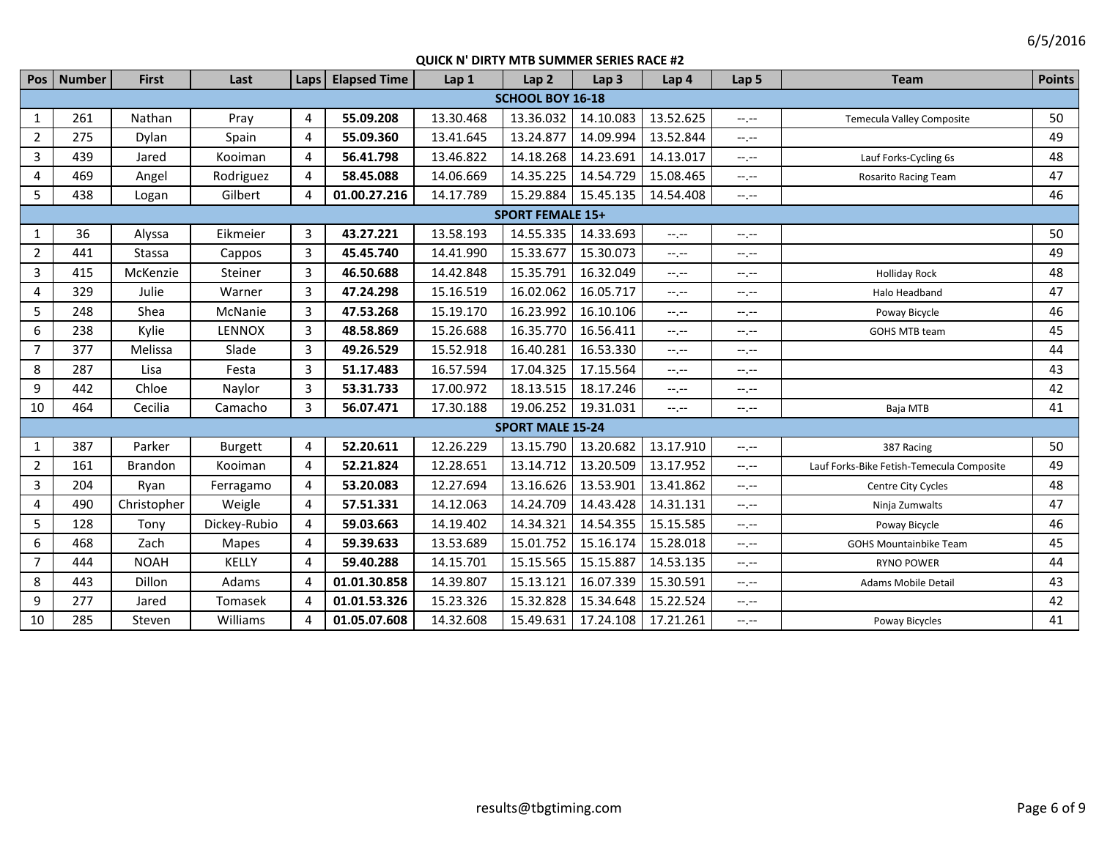|                  | Pos   Number | <b>First</b>   | Last           | Laps         | <b>Elapsed Time</b> | Lap 1     | Lap <sub>2</sub>        | Lap <sub>3</sub> | Lap 4       | Lap <sub>5</sub> | <b>Team</b>                               | <b>Points</b> |
|------------------|--------------|----------------|----------------|--------------|---------------------|-----------|-------------------------|------------------|-------------|------------------|-------------------------------------------|---------------|
|                  |              |                |                |              |                     |           | <b>SCHOOL BOY 16-18</b> |                  |             |                  |                                           |               |
| $\mathbf{1}$     | 261          | Nathan         | Pray           | 4            | 55.09.208           | 13.30.468 | 13.36.032               | 14.10.083        | 13.52.625   | $-1$             | <b>Temecula Valley Composite</b>          | 50            |
| $\overline{2}$   | 275          | Dylan          | Spain          | 4            | 55.09.360           | 13.41.645 | 13.24.877               | 14.09.994        | 13.52.844   | $-1$ , $-1$      |                                           | 49            |
| $\overline{3}$   | 439          | Jared          | Kooiman        | 4            | 56.41.798           | 13.46.822 | 14.18.268               | 14.23.691        | 14.13.017   | $-1$             | Lauf Forks-Cycling 6s                     | 48            |
| 4                | 469          | Angel          | Rodriguez      | 4            | 58.45.088           | 14.06.669 | 14.35.225               | 14.54.729        | 15.08.465   | $-1$ , $-1$      | Rosarito Racing Team                      | 47            |
| 5                | 438          | Logan          | Gilbert        | 4            | 01.00.27.216        | 14.17.789 | 15.29.884               | 15.45.135        | 14.54.408   | $-1, -1$         |                                           | 46            |
|                  |              |                |                |              |                     |           | <b>SPORT FEMALE 15+</b> |                  |             |                  |                                           |               |
| $\mathbf{1}$     | 36           | Alyssa         | Eikmeier       | 3            | 43.27.221           | 13.58.193 | 14.55.335               | 14.33.693        | $-1$        | $-1 - 1 - 1 = 0$ |                                           | 50            |
| $\overline{2}$   | 441          | <b>Stassa</b>  | Cappos         | 3            | 45.45.740           | 14.41.990 | 15.33.677               | 15.30.073        | $-1$        | $-1, -1$         |                                           | 49            |
| $\overline{3}$   | 415          | McKenzie       | Steiner        | 3            | 46.50.688           | 14.42.848 | 15.35.791               | 16.32.049        | $-1$        | $-1$ , $-1$      | <b>Holliday Rock</b>                      | 48            |
| $\overline{4}$   | 329          | Julie          | Warner         | 3            | 47.24.298           | 15.16.519 | 16.02.062               | 16.05.717        | $-1$ , $-1$ | $-1, -1$         | Halo Headband                             | 47            |
| 5                | 248          | Shea           | McNanie        | 3            | 47.53.268           | 15.19.170 | 16.23.992               | 16.10.106        | $-1, -1$    | $-1 - 1 - 1 = 0$ | Poway Bicycle                             | 46            |
| $\boldsymbol{6}$ | 238          | Kylie          | LENNOX         | $\mathbf{3}$ | 48.58.869           | 15.26.688 | 16.35.770               | 16.56.411        | $-1, -1$    | $-1$             | GOHS MTB team                             | 45            |
| $\overline{7}$   | 377          | Melissa        | Slade          | 3            | 49.26.529           | 15.52.918 | 16.40.281               | 16.53.330        | $-1$        | $-1, -1$         |                                           | 44            |
| 8                | 287          | Lisa           | Festa          | 3            | 51.17.483           | 16.57.594 | 17.04.325               | 17.15.564        | $-1, -1$    | $-1 - 1 - 1 = 0$ |                                           | 43            |
| 9                | 442          | Chloe          | Naylor         | 3            | 53.31.733           | 17.00.972 | 18.13.515               | 18.17.246        | $-1$        | $-1 - 1 - 1 = 0$ |                                           | 42            |
| 10               | 464          | Cecilia        | Camacho        | 3            | 56.07.471           | 17.30.188 | 19.06.252               | 19.31.031        | $-1$ , $-1$ | $-1, -1$         | Baja MTB                                  | 41            |
|                  |              |                |                |              |                     |           | <b>SPORT MALE 15-24</b> |                  |             |                  |                                           |               |
| $\mathbf{1}$     | 387          | Parker         | <b>Burgett</b> | 4            | 52.20.611           | 12.26.229 | 13.15.790               | 13.20.682        | 13.17.910   | $-1$ , $-1$      | 387 Racing                                | 50            |
| $\overline{2}$   | 161          | <b>Brandon</b> | Kooiman        | 4            | 52.21.824           | 12.28.651 | 13.14.712               | 13.20.509        | 13.17.952   | $-1$             | Lauf Forks-Bike Fetish-Temecula Composite | 49            |
| $\overline{3}$   | 204          | Ryan           | Ferragamo      | 4            | 53.20.083           | 12.27.694 | 13.16.626               | 13.53.901        | 13.41.862   | $-1$             | Centre City Cycles                        | 48            |
| 4                | 490          | Christopher    | Weigle         | 4            | 57.51.331           | 14.12.063 | 14.24.709               | 14.43.428        | 14.31.131   | $-1$             | Ninja Zumwalts                            | 47            |
| 5                | 128          | Tony           | Dickey-Rubio   | 4            | 59.03.663           | 14.19.402 | 14.34.321               | 14.54.355        | 15.15.585   | $-1$             | Poway Bicycle                             | 46            |
| 6                | 468          | Zach           | <b>Mapes</b>   | 4            | 59.39.633           | 13.53.689 | 15.01.752               | 15.16.174        | 15.28.018   | $-1$ , $-1$      | <b>GOHS Mountainbike Team</b>             | 45            |
| $\overline{7}$   | 444          | <b>NOAH</b>    | KELLY          | 4            | 59.40.288           | 14.15.701 | 15.15.565               | 15.15.887        | 14.53.135   | $-1$ , $-1$      | <b>RYNO POWER</b>                         | 44            |
| 8                | 443          | Dillon         | Adams          | 4            | 01.01.30.858        | 14.39.807 | 15.13.121               | 16.07.339        | 15.30.591   | $-1$             | Adams Mobile Detail                       | 43            |
| 9                | 277          | Jared          | Tomasek        | 4            | 01.01.53.326        | 15.23.326 | 15.32.828               | 15.34.648        | 15.22.524   | --.--            |                                           | 42            |
| 10               | 285          | Steven         | Williams       | 4            | 01.05.07.608        | 14.32.608 | 15.49.631               | 17.24.108        | 17.21.261   | $-1, -1$         | Poway Bicycles                            | 41            |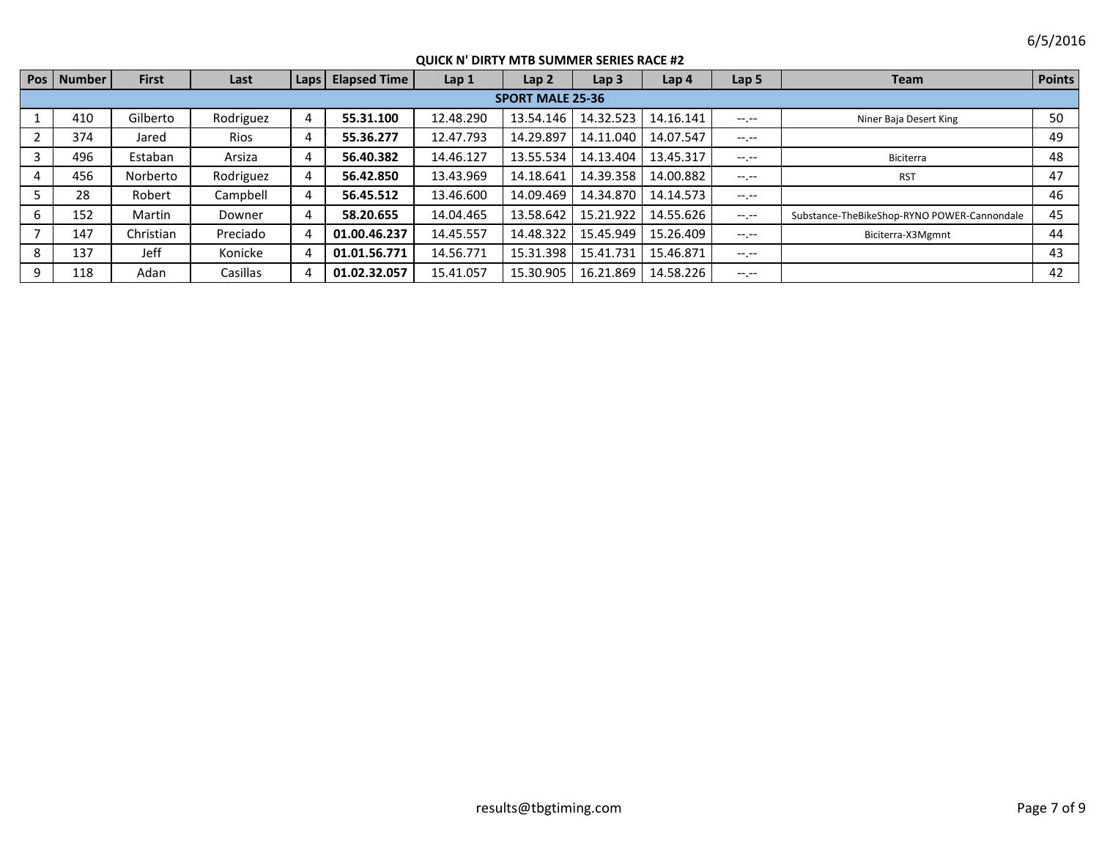|    | Pos   Number            | <b>First</b> | Last        | Laps <sup>1</sup>     | <b>Elapsed Time</b> | Lap 1     | Lap <sub>2</sub> | Lap <sub>3</sub> | Lap 4                 | Lap <sub>5</sub> | <b>Team</b>                                 | <b>Points</b> |
|----|-------------------------|--------------|-------------|-----------------------|---------------------|-----------|------------------|------------------|-----------------------|------------------|---------------------------------------------|---------------|
|    | <b>SPORT MALE 25-36</b> |              |             |                       |                     |           |                  |                  |                       |                  |                                             |               |
|    | 410                     | Gilberto     | Rodriguez   | 4                     | 55.31.100           | 12.48.290 | 13.54.146        |                  | 14.32.523 14.16.141   | $-1$ , $-1$      | Niner Baja Desert King                      | 50            |
|    | 374                     | Jared        | <b>Rios</b> | 4                     | 55.36.277           | 12.47.793 | 14.29.897        | 14.11.040        | 14.07.547             | $-1.1$           |                                             | 49            |
|    | 496                     | Estaban      | Arsiza      | 4                     | 56.40.382           | 14.46.127 | 13.55.534        |                  | 14.13.404   13.45.317 | $-1$ , $-1$      | Biciterra                                   | 48            |
|    | 456                     | Norberto     | Rodriguez   | 4                     | 56.42.850           | 13.43.969 | 14.18.641        | 14.39.358        | 14.00.882             | $-1.1$           | <b>RST</b>                                  | 47            |
|    | 28                      | Robert       | Campbell    | 4                     | 56.45.512           | 13.46.600 | 14.09.469        | 14.34.870        | 14.14.573             | $-1.1$           |                                             | 46            |
| 6. | 152                     | Martin       | Downer      | 4                     | 58.20.655           | 14.04.465 | 13.58.642        | 15.21.922        | 14.55.626             | $-1$ , $-1$      | Substance-TheBikeShop-RYNO POWER-Cannondale | 45            |
|    | 147                     | Christian    | Preciado    | 4                     | 01.00.46.237        | 14.45.557 | 14.48.322        | 15.45.949        | 15.26.409             | $-1$ , $-1$      | Biciterra-X3Mgmnt                           | 44            |
| 8  | 137                     | Jeff         | Konicke     | 4                     | 01.01.56.771        | 14.56.771 | 15.31.398        | 15.41.731        | 15.46.871             | $-1 - 1 - 1 = 0$ |                                             | 43            |
| 9  | 118                     | Adan         | Casillas    | $\boldsymbol{\Delta}$ | 01.02.32.057        | 15.41.057 | 15.30.905        |                  | 16.21.869   14.58.226 |                  |                                             | 42            |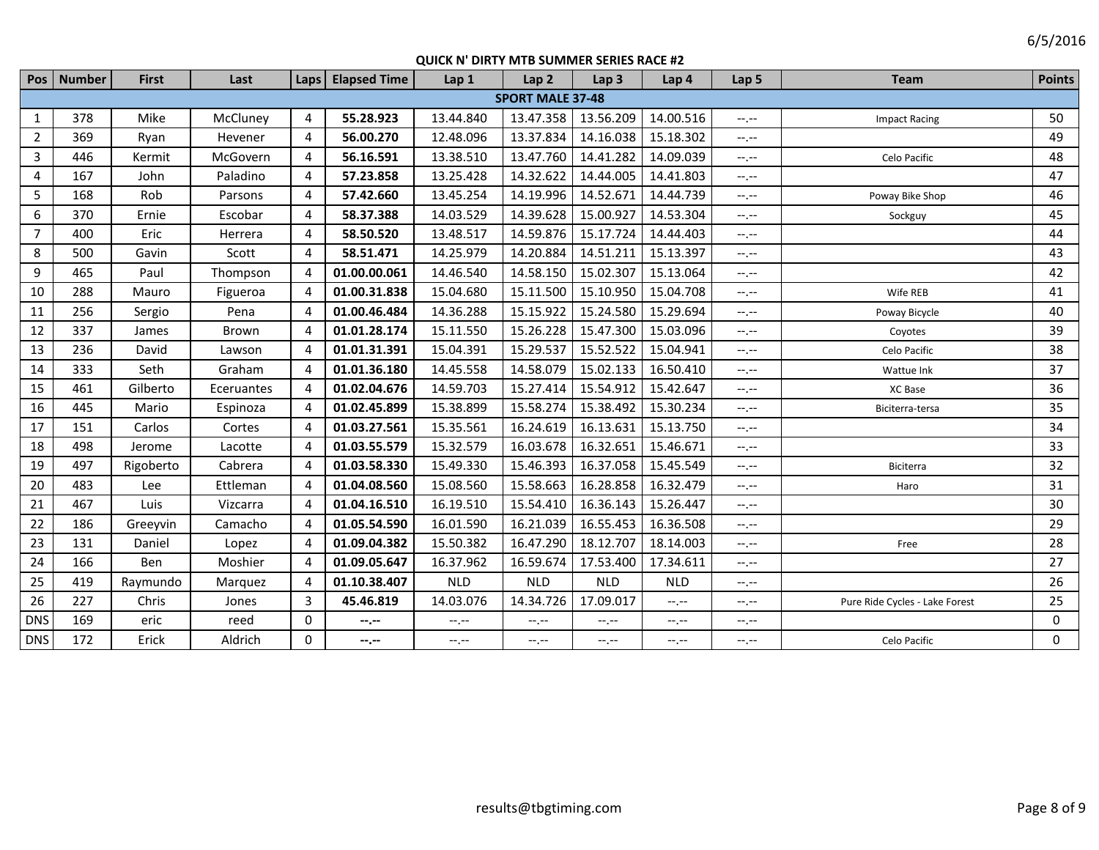|                | Pos   Number            | <b>First</b> | Last       | Laps | <b>Elapsed Time</b> | Lap 1      | Lap <sub>2</sub> | Lap <sub>3</sub> | Lap 4                                         | Lap <sub>5</sub> | <b>Team</b>                    | <b>Points</b> |  |
|----------------|-------------------------|--------------|------------|------|---------------------|------------|------------------|------------------|-----------------------------------------------|------------------|--------------------------------|---------------|--|
|                | <b>SPORT MALE 37-48</b> |              |            |      |                     |            |                  |                  |                                               |                  |                                |               |  |
| $\mathbf{1}$   | 378                     | Mike         | McCluney   | 4    | 55.28.923           | 13.44.840  | 13.47.358        | 13.56.209        | 14.00.516                                     | $-1$ .           | <b>Impact Racing</b>           | 50            |  |
| $\overline{2}$ | 369                     | Ryan         | Hevener    | 4    | 56.00.270           | 12.48.096  | 13.37.834        | 14.16.038        | 15.18.302                                     | $-1$ .           |                                | 49            |  |
| $\overline{3}$ | 446                     | Kermit       | McGovern   | 4    | 56.16.591           | 13.38.510  | 13.47.760        | 14.41.282        | 14.09.039                                     | $-1$ .           | Celo Pacific                   | 48            |  |
| $\overline{4}$ | 167                     | John         | Paladino   | 4    | 57.23.858           | 13.25.428  | 14.32.622        | 14.44.005        | 14.41.803                                     | $-1$ .           |                                | 47            |  |
| 5              | 168                     | Rob          | Parsons    | 4    | 57.42.660           | 13.45.254  | 14.19.996        | 14.52.671        | 14.44.739                                     | $-1$ , $-1$      | Poway Bike Shop                | 46            |  |
| 6              | 370                     | Ernie        | Escobar    | 4    | 58.37.388           | 14.03.529  | 14.39.628        | 15.00.927        | 14.53.304                                     | $-1$ , $-1$      | Sockguy                        | 45            |  |
| $\overline{7}$ | 400                     | Eric         | Herrera    | 4    | 58.50.520           | 13.48.517  | 14.59.876        | 15.17.724        | 14.44.403                                     | $--, --$         |                                | 44            |  |
| 8              | 500                     | Gavin        | Scott      | 4    | 58.51.471           | 14.25.979  | 14.20.884        | 14.51.211        | 15.13.397                                     | $-1$ , $-1$      |                                | 43            |  |
| 9              | 465                     | Paul         | Thompson   | 4    | 01.00.00.061        | 14.46.540  | 14.58.150        | 15.02.307        | 15.13.064                                     | $-1$ .           |                                | 42            |  |
| 10             | 288                     | Mauro        | Figueroa   | 4    | 01.00.31.838        | 15.04.680  | 15.11.500        | 15.10.950        | 15.04.708                                     | $-1$ , $-1$      | Wife REB                       | 41            |  |
| 11             | 256                     | Sergio       | Pena       | 4    | 01.00.46.484        | 14.36.288  | 15.15.922        | 15.24.580        | 15.29.694                                     | $-1$ , $-1$      | Poway Bicycle                  | 40            |  |
| 12             | 337                     | James        | Brown      | 4    | 01.01.28.174        | 15.11.550  | 15.26.228        | 15.47.300        | 15.03.096                                     | $-1$ , $-1$      | Coyotes                        | 39            |  |
| 13             | 236                     | David        | Lawson     | 4    | 01.01.31.391        | 15.04.391  | 15.29.537        | 15.52.522        | 15.04.941                                     | $-1$             | Celo Pacific                   | 38            |  |
| 14             | 333                     | Seth         | Graham     | 4    | 01.01.36.180        | 14.45.558  | 14.58.079        | 15.02.133        | 16.50.410                                     | $-1$ , $-1$      | Wattue Ink                     | 37            |  |
| 15             | 461                     | Gilberto     | Eceruantes | 4    | 01.02.04.676        | 14.59.703  | 15.27.414        | 15.54.912        | 15.42.647                                     | $-1$ , $-1$      | XC Base                        | 36            |  |
| 16             | 445                     | Mario        | Espinoza   | 4    | 01.02.45.899        | 15.38.899  | 15.58.274        | 15.38.492        | 15.30.234                                     | $-1$ .           | Biciterra-tersa                | 35            |  |
| 17             | 151                     | Carlos       | Cortes     | 4    | 01.03.27.561        | 15.35.561  | 16.24.619        | 16.13.631        | 15.13.750                                     | $-1$ , $-1$      |                                | 34            |  |
| 18             | 498                     | Jerome       | Lacotte    | 4    | 01.03.55.579        | 15.32.579  | 16.03.678        | 16.32.651        | 15.46.671                                     | $-1$ , $-1$      |                                | 33            |  |
| 19             | 497                     | Rigoberto    | Cabrera    | 4    | 01.03.58.330        | 15.49.330  | 15.46.393        | 16.37.058        | 15.45.549                                     | $-1, -1$         | Biciterra                      | 32            |  |
| 20             | 483                     | Lee          | Ettleman   | 4    | 01.04.08.560        | 15.08.560  | 15.58.663        | 16.28.858        | 16.32.479                                     | $-1 - 1 - 1 = 0$ | Haro                           | 31            |  |
| 21             | 467                     | Luis         | Vizcarra   | 4    | 01.04.16.510        | 16.19.510  | 15.54.410        | 16.36.143        | 15.26.447                                     | $-1, -1$         |                                | 30            |  |
| 22             | 186                     | Greeyvin     | Camacho    | 4    | 01.05.54.590        | 16.01.590  | 16.21.039        | 16.55.453        | 16.36.508                                     | $-1 - 1 - 1 = 0$ |                                | 29            |  |
| 23             | 131                     | Daniel       | Lopez      | 4    | 01.09.04.382        | 15.50.382  | 16.47.290        | 18.12.707        | 18.14.003                                     | $-1$ .           | Free                           | 28            |  |
| 24             | 166                     | Ben          | Moshier    | 4    | 01.09.05.647        | 16.37.962  | 16.59.674        | 17.53.400        | 17.34.611                                     | $-1$ .           |                                | 27            |  |
| 25             | 419                     | Raymundo     | Marquez    | 4    | 01.10.38.407        | <b>NLD</b> | <b>NLD</b>       | <b>NLD</b>       | <b>NLD</b>                                    | $-1$ .           |                                | 26            |  |
| 26             | 227                     | Chris        | Jones      | 3    | 45.46.819           | 14.03.076  | 14.34.726        | 17.09.017        | $-1$ , $-1$                                   | $-1$ .           | Pure Ride Cycles - Lake Forest | 25            |  |
| <b>DNS</b>     | 169                     | eric         | reed       | 0    | --.--               | $-1, -1$   | $-1$ , $-1$      | $-1, -1$         | $\mathrel{\mathop:}=$ , $\mathrel{\mathop:}=$ | $-1$ . $-1$      |                                | 0             |  |
| <b>DNS</b>     | 172                     | Erick        | Aldrich    | 0    | --.--               | $-1, -1$   | $--, --$         | --.--            | $-1, -1$                                      | $-1$ .           | Celo Pacific                   | $\mathbf 0$   |  |